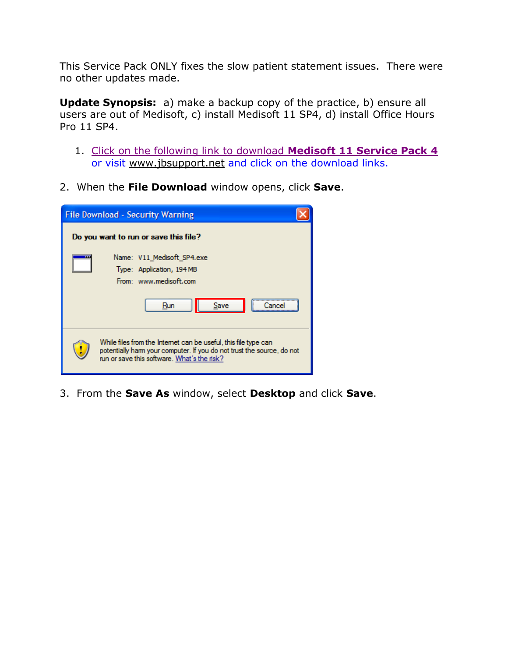This Service Pack ONLY fixes the slow patient statement issues. There were no other updates made.

**Update Synopsis:** a) make a backup copy of the practice, b) ensure all users are out of Medisoft, c) install Medisoft 11 SP4, d) install Office Hours Pro 11 SP4.

- 1. [Click on the following link to download](http://www.jbsupport.net/files/Medisoft%20v11/SP4/V11_Medisoft_SP4.exe) **Medisoft 11 Service Pack 4** or visit [www.jbsupport.net](http://www.jbsupport.net/) and click on the download links.
- 2. When the **File Download** window opens, click **Save**.

| <b>File Download - Security Warning</b>                                                                                                                                                  |  |  |
|------------------------------------------------------------------------------------------------------------------------------------------------------------------------------------------|--|--|
| Do you want to run or save this file?                                                                                                                                                    |  |  |
| Name: V11 Medisoft SP4.exe<br>Type: Application, 194 MB<br>From: www.medisoft.com<br>Save<br>Run                                                                                         |  |  |
| While files from the Internet can be useful, this file type can<br>potentially harm your computer. If you do not trust the source, do not<br>run or save this software. What's the risk? |  |  |

3. From the **Save As** window, select **Desktop** and click **Save**.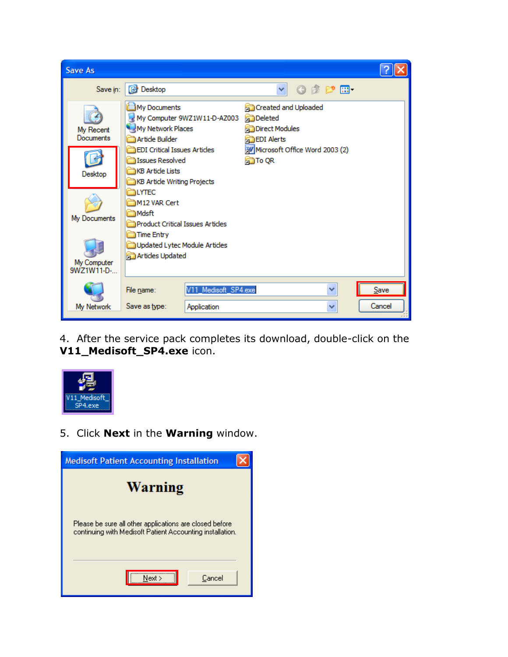

4. After the service pack completes its download, double-click on the **V11\_Medisoft\_SP4.exe** icon.



## 5. Click **Next** in the **Warning** window.

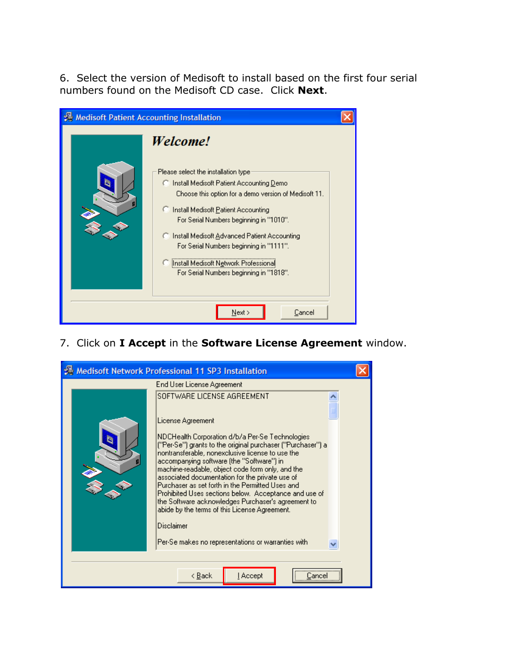6. Select the version of Medisoft to install based on the first four serial numbers found on the Medisoft CD case. Click **Next**.



7. Click on **I Accept** in the **Software License Agreement** window.

|                                            | Medisoft Network Professional 11 SP3 Installation                                                                                                                                                                                                                                                                                                                                                                                                                                                                                                                                                                                                                 |  |
|--------------------------------------------|-------------------------------------------------------------------------------------------------------------------------------------------------------------------------------------------------------------------------------------------------------------------------------------------------------------------------------------------------------------------------------------------------------------------------------------------------------------------------------------------------------------------------------------------------------------------------------------------------------------------------------------------------------------------|--|
|                                            | End User License Agreement                                                                                                                                                                                                                                                                                                                                                                                                                                                                                                                                                                                                                                        |  |
|                                            | SOFTWARE LICENSE AGREEMENT<br>License Agreement<br>NDCHealth Corporation d/b/a Per-Se Technologies<br>("Per-Se") grants to the original purchaser ("Purchaser") a<br>nontransferable, nonexclusive license to use the<br>accompanying software (the "Software") in<br>machine-readable, object code form only, and the<br>associated documentation for the private use of<br>Purchaser as set forth in the Permitted Uses and<br>Prohibited Uses sections below. Acceptance and use of<br>the Software acknowledges Purchaser's agreement to<br>abide by the terms of this License Agreement.<br>Disclaimer<br>Per-Se makes no representations or warranties with |  |
| <u>l</u> Accept<br>< <u>B</u> ack<br>Lance |                                                                                                                                                                                                                                                                                                                                                                                                                                                                                                                                                                                                                                                                   |  |
|                                            |                                                                                                                                                                                                                                                                                                                                                                                                                                                                                                                                                                                                                                                                   |  |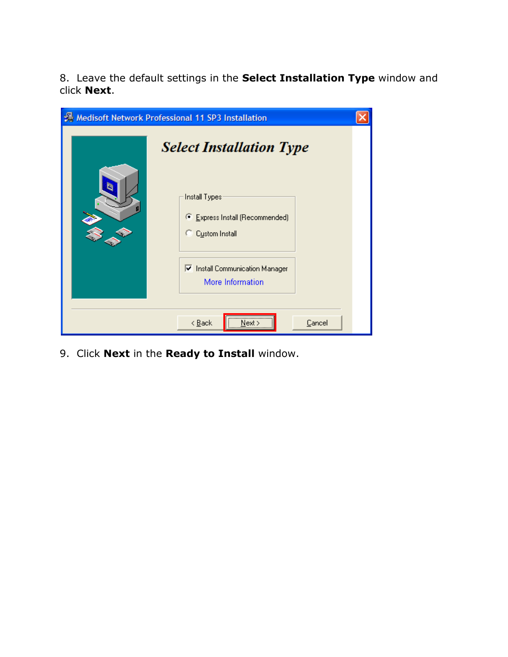8. Leave the default settings in the **Select Installation Type** window and click **Next**.

|    | <b>A</b> Medisoft Network Professional 11 SP3 Installation                                            |  |
|----|-------------------------------------------------------------------------------------------------------|--|
| k. | <b>Select Installation Type</b><br>Install Types<br>Express Install (Recommended)<br>C Custom Install |  |
|    | Ⅳ Install Communication Manager<br>More Information<br><br>$\leq$ Back<br>Cancel<br>Next              |  |

9. Click **Next** in the **Ready to Install** window.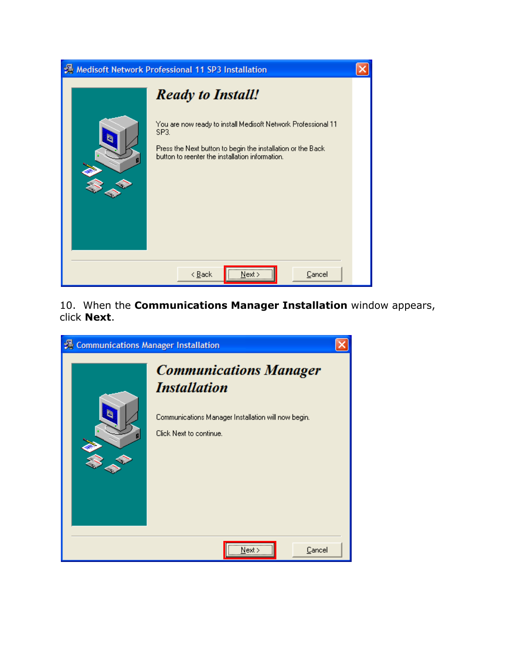

10. When the **Communications Manager Installation** window appears, click **Next**.

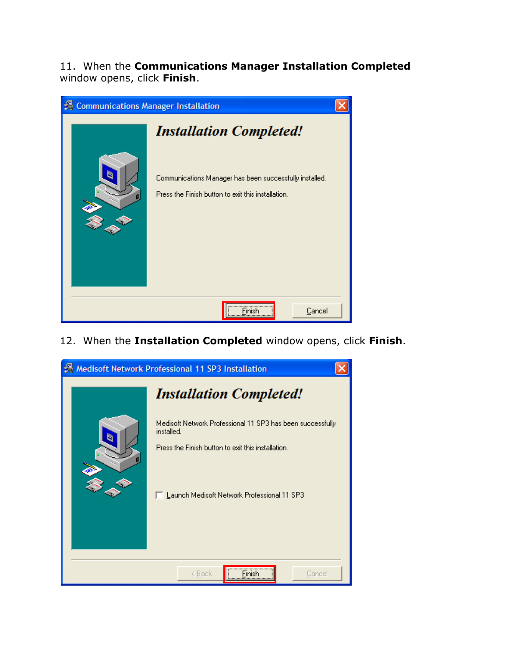11. When the **Communications Manager Installation Completed** window opens, click **Finish**.

| 景 Communications Manager Installation |                                                                                                                                                 |  |
|---------------------------------------|-------------------------------------------------------------------------------------------------------------------------------------------------|--|
|                                       | <b>Installation Completed!</b><br>Communications Manager has been successfully installed.<br>Press the Finish button to exit this installation. |  |
|                                       | <br>Cancel                                                                                                                                      |  |

12. When the **Installation Completed** window opens, click **Finish**.

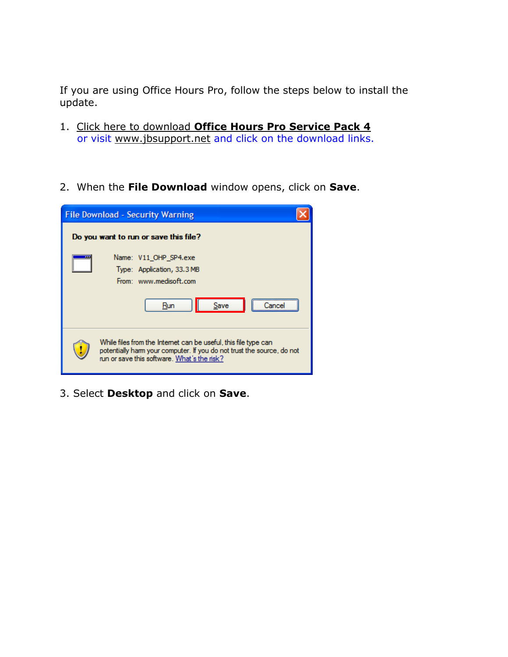If you are using Office Hours Pro, follow the steps below to install the update.

- 1. Click here to download **[Office Hours Pro Service Pack 4](http://www.jbsupport.net/files/Medisoft%20v11/SP4/V11_OHP_SP4.exe)** or visit [www.jbsupport.net](http://www.jbsupport.net/) and click on the download links.
- 2. When the **File Download** window opens, click on **Save**.

| <b>File Download - Security Warning</b>                                                                                                                                                  |  |  |  |
|------------------------------------------------------------------------------------------------------------------------------------------------------------------------------------------|--|--|--|
| Do you want to run or save this file?                                                                                                                                                    |  |  |  |
| Name: V11 OHP SP4.exe<br>Type: Application, 33.3 MB<br>From: www.medisoft.com<br>Save<br>Run                                                                                             |  |  |  |
| While files from the Internet can be useful, this file type can<br>potentially harm your computer. If you do not trust the source, do not<br>run or save this software. What's the risk? |  |  |  |

3. Select **Desktop** and click on **Save**.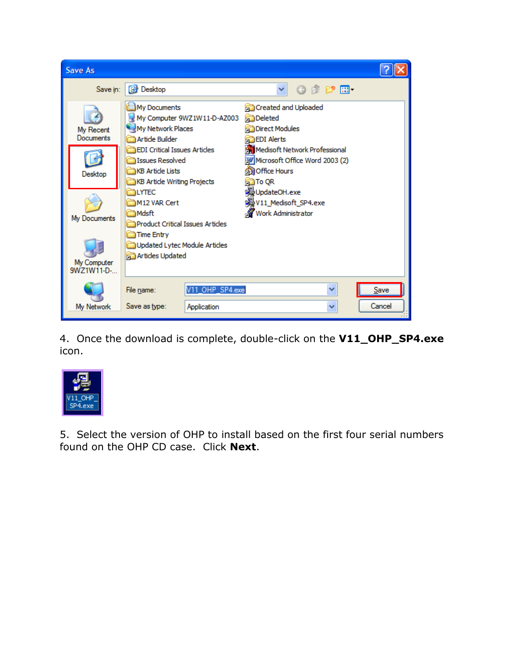

4. Once the download is complete, double-click on the **V11\_OHP\_SP4.exe** icon.



5. Select the version of OHP to install based on the first four serial numbers found on the OHP CD case. Click **Next**.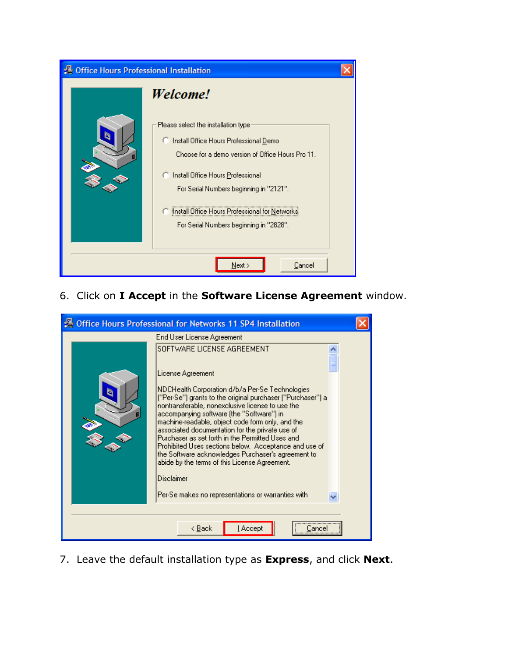| 误 Office Hours Professional Installation |                                                                                                                                                                                                                                                                                                                  |  |
|------------------------------------------|------------------------------------------------------------------------------------------------------------------------------------------------------------------------------------------------------------------------------------------------------------------------------------------------------------------|--|
|                                          | Welcome!                                                                                                                                                                                                                                                                                                         |  |
|                                          | Please select the installation type<br>C Install Office Hours Professional Demo<br>Choose for a demo version of Office Hours Pro 11.<br>C Install Office Hours Professional<br>For Serial Numbers beginning in "2121".<br>Install Office Hours Professional for Netwo<br>For Serial Numbers beginning in "2828". |  |
| Next<br>Cancel                           |                                                                                                                                                                                                                                                                                                                  |  |

6. Click on **I Accept** in the **Software License Agreement** window.

| Office Hours Professional for Networks 11 SP4 Installation                                                                                                                                                                                                                                                                                                                                                                                                                                                                                                                            |  |
|---------------------------------------------------------------------------------------------------------------------------------------------------------------------------------------------------------------------------------------------------------------------------------------------------------------------------------------------------------------------------------------------------------------------------------------------------------------------------------------------------------------------------------------------------------------------------------------|--|
| End User License Agreement                                                                                                                                                                                                                                                                                                                                                                                                                                                                                                                                                            |  |
| SOFTWARE LICENSE AGREEMENT                                                                                                                                                                                                                                                                                                                                                                                                                                                                                                                                                            |  |
| License Agreement<br>NDCHealth Corporation d/b/a Per-Se Technologies.<br>("Per-Se") grants to the original purchaser ("Purchaser") a<br>nontransferable, nonexclusive license to use the<br>accompanying software (the "Software") in<br>machine-readable, object code form only, and the<br>associated documentation for the private use of<br>Purchaser as set forth in the Permitted Uses and<br>Prohibited Uses sections below. Acceptance and use of<br>the Software acknowledges Purchaser's agreement to<br>abide by the terms of this License Agreement.<br><b>Disclaimer</b> |  |
| Per-Se makes no representations or warranties with                                                                                                                                                                                                                                                                                                                                                                                                                                                                                                                                    |  |
|                                                                                                                                                                                                                                                                                                                                                                                                                                                                                                                                                                                       |  |
| < <u>B</u> ack<br><u>I</u> Accept<br>Cance                                                                                                                                                                                                                                                                                                                                                                                                                                                                                                                                            |  |

7. Leave the default installation type as **Express**, and click **Next**.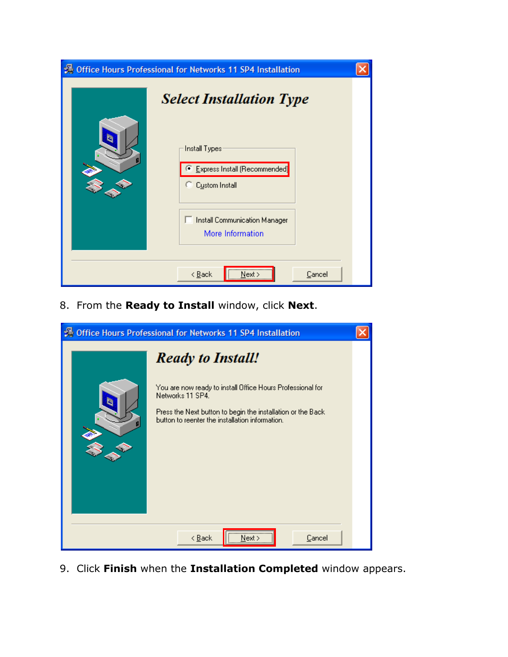| <b>B</b> Office Hours Professional for Networks 11 SP4 Installation                                                                                             |  |
|-----------------------------------------------------------------------------------------------------------------------------------------------------------------|--|
| <b>Select Installation Type</b><br>Install Types<br><b>Express Install (Recommended)</b><br>Custom Install<br>Install Communication Manager<br>More Information |  |
| <br>Cancel<br>$\leq$ $\underline{B}$ ack<br>Next                                                                                                                |  |

8. From the **Ready to Install** window, click **Next**.



9. Click **Finish** when the **Installation Completed** window appears.